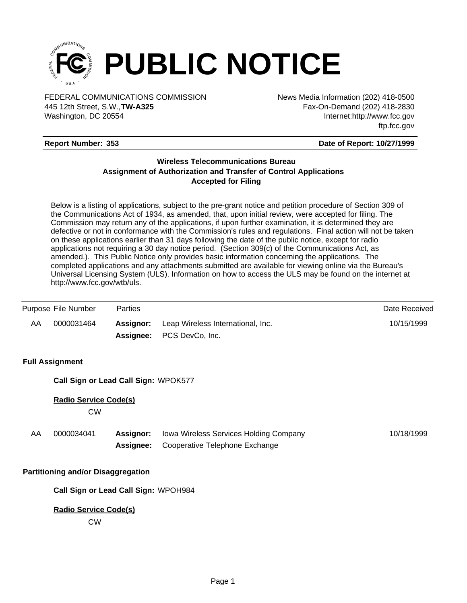

FEDERAL COMMUNICATIONS COMMISSION News Media Information (202) 418-0500 Washington, DC 20554 445 12th Street, S.W.,**TW-A325**

Fax-On-Demand (202) 418-2830 Internet:http://www.fcc.gov ftp.fcc.gov

### **Report Number: 353**

### **Date of Report: 10/27/1999**

## **Wireless Telecommunications Bureau Assignment of Authorization and Transfer of Control Applications Accepted for Filing**

Below is a listing of applications, subject to the pre-grant notice and petition procedure of Section 309 of the Communications Act of 1934, as amended, that, upon initial review, were accepted for filing. The Commission may return any of the applications, if upon further examination, it is determined they are defective or not in conformance with the Commission's rules and regulations. Final action will not be taken on these applications earlier than 31 days following the date of the public notice, except for radio applications not requiring a 30 day notice period. (Section 309(c) of the Communications Act, as amended.). This Public Notice only provides basic information concerning the applications. The completed applications and any attachments submitted are available for viewing online via the Bureau's Universal Licensing System (ULS). Information on how to access the ULS may be found on the internet at http://www.fcc.gov/wtb/uls.

| Purpose File Number | Parties   |                                                                | Date Received |
|---------------------|-----------|----------------------------------------------------------------|---------------|
| AA<br>0000031464    | Assignor: | Leap Wireless International, Inc.<br>Assignee: PCS DevCo, Inc. | 10/15/1999    |

### **Full Assignment**

**Call Sign or Lead Call Sign:** WPOK577

### **Radio Service Code(s)**

CW

| AA | 0000034041 | <b>Assignor:</b> Iowa Wireless Services Holding Company | 10/18/1999 |
|----|------------|---------------------------------------------------------|------------|
|    |            | <b>Assignee:</b> Cooperative Telephone Exchange         |            |

### **Partitioning and/or Disaggregation**

**Call Sign or Lead Call Sign:** WPOH984

### **Radio Service Code(s)**

CW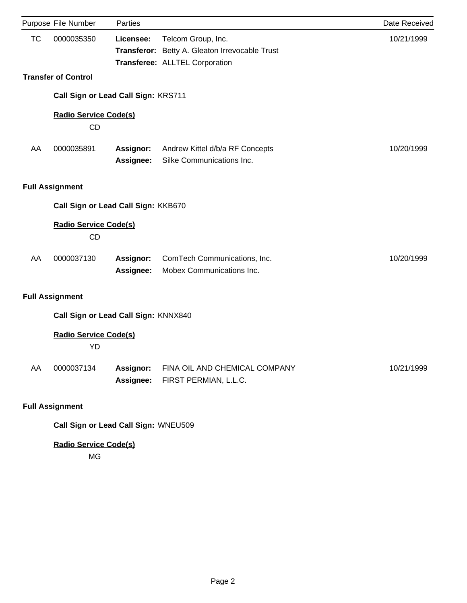|           | Purpose File Number                       | Parties                |                                                                      | Date Received |
|-----------|-------------------------------------------|------------------------|----------------------------------------------------------------------|---------------|
| <b>TC</b> | 0000035350                                | Licensee:              | Telcom Group, Inc.<br>Transferor: Betty A. Gleaton Irrevocable Trust | 10/21/1999    |
|           | <b>Transfer of Control</b>                |                        | Transferee: ALLTEL Corporation                                       |               |
|           |                                           |                        |                                                                      |               |
|           | Call Sign or Lead Call Sign: KRS711       |                        |                                                                      |               |
|           | <b>Radio Service Code(s)</b><br><b>CD</b> |                        |                                                                      |               |
| AA        | 0000035891                                | Assignor:<br>Assignee: | Andrew Kittel d/b/a RF Concepts<br>Silke Communications Inc.         | 10/20/1999    |
|           | <b>Full Assignment</b>                    |                        |                                                                      |               |
|           | Call Sign or Lead Call Sign: KKB670       |                        |                                                                      |               |
|           | <b>Radio Service Code(s)</b><br><b>CD</b> |                        |                                                                      |               |
| AA        | 0000037130                                | Assignor:<br>Assignee: | ComTech Communications, Inc.<br>Mobex Communications Inc.            | 10/20/1999    |
|           | <b>Full Assignment</b>                    |                        |                                                                      |               |
|           | Call Sign or Lead Call Sign: KNNX840      |                        |                                                                      |               |
|           | <b>Radio Service Code(s)</b><br>YD        |                        |                                                                      |               |
| AA        | 0000037134                                | Assignor:<br>Assignee: | FINA OIL AND CHEMICAL COMPANY<br>FIRST PERMIAN, L.L.C.               | 10/21/1999    |
|           | <b>Full Assignment</b>                    |                        |                                                                      |               |
|           | Call Sign or Lead Call Sign: WNEU509      |                        |                                                                      |               |

# **Radio Service Code(s)**

MG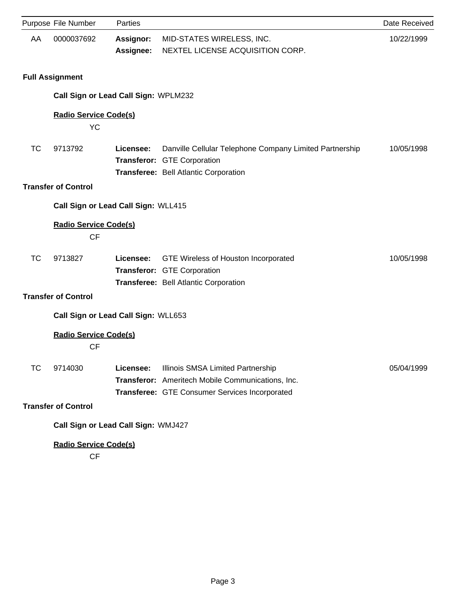|           | Purpose File Number                       | Parties                       |                                                                                                                                          | Date Received |
|-----------|-------------------------------------------|-------------------------------|------------------------------------------------------------------------------------------------------------------------------------------|---------------|
| AA        | 0000037692                                | <b>Assignor:</b><br>Assignee: | MID-STATES WIRELESS, INC.<br>NEXTEL LICENSE ACQUISITION CORP.                                                                            | 10/22/1999    |
|           | <b>Full Assignment</b>                    |                               |                                                                                                                                          |               |
|           | Call Sign or Lead Call Sign: WPLM232      |                               |                                                                                                                                          |               |
|           | <b>Radio Service Code(s)</b><br>YC        |                               |                                                                                                                                          |               |
| <b>TC</b> | 9713792                                   | Licensee:                     | Danville Cellular Telephone Company Limited Partnership<br>Transferor: GTE Corporation<br>Transferee: Bell Atlantic Corporation          | 10/05/1998    |
|           | <b>Transfer of Control</b>                |                               |                                                                                                                                          |               |
|           | Call Sign or Lead Call Sign: WLL415       |                               |                                                                                                                                          |               |
|           | <b>Radio Service Code(s)</b><br><b>CF</b> |                               |                                                                                                                                          |               |
| <b>TC</b> | 9713827                                   | Licensee:                     | GTE Wireless of Houston Incorporated<br>Transferor: GTE Corporation<br>Transferee: Bell Atlantic Corporation                             | 10/05/1998    |
|           | <b>Transfer of Control</b>                |                               |                                                                                                                                          |               |
|           | Call Sign or Lead Call Sign: WLL653       |                               |                                                                                                                                          |               |
|           | <b>Radio Service Code(s)</b><br><b>CF</b> |                               |                                                                                                                                          |               |
| ТC        | 9714030                                   | Licensee:                     | Illinois SMSA Limited Partnership<br>Transferor: Ameritech Mobile Communications, Inc.<br>Transferee: GTE Consumer Services Incorporated | 05/04/1999    |
|           | <b>Transfer of Control</b>                |                               |                                                                                                                                          |               |
|           | Call Sign or Lead Call Sign: WMJ427       |                               |                                                                                                                                          |               |
|           | <b>Radio Service Code(s)</b>              |                               |                                                                                                                                          |               |

CF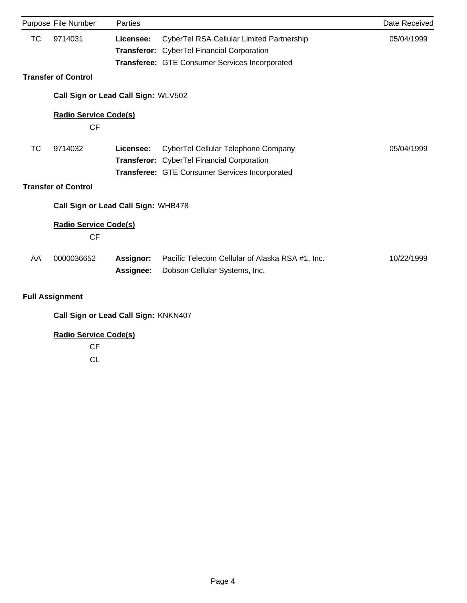|           | Purpose File Number                       | Parties   |                                                 | Date Received |
|-----------|-------------------------------------------|-----------|-------------------------------------------------|---------------|
| ТC        | 9714031                                   | Licensee: | CyberTel RSA Cellular Limited Partnership       | 05/04/1999    |
|           |                                           |           | Transferor: CyberTel Financial Corporation      |               |
|           |                                           |           | Transferee: GTE Consumer Services Incorporated  |               |
|           | <b>Transfer of Control</b>                |           |                                                 |               |
|           | Call Sign or Lead Call Sign: WLV502       |           |                                                 |               |
|           | <b>Radio Service Code(s)</b><br><b>CF</b> |           |                                                 |               |
| <b>TC</b> | 9714032                                   | Licensee: | CyberTel Cellular Telephone Company             | 05/04/1999    |
|           |                                           |           | Transferor: CyberTel Financial Corporation      |               |
|           |                                           |           | Transferee: GTE Consumer Services Incorporated  |               |
|           | <b>Transfer of Control</b>                |           |                                                 |               |
|           | Call Sign or Lead Call Sign: WHB478       |           |                                                 |               |
|           | <b>Radio Service Code(s)</b><br><b>CF</b> |           |                                                 |               |
| AA        | 0000036652                                | Assignor: | Pacific Telecom Cellular of Alaska RSA #1, Inc. | 10/22/1999    |
|           |                                           | Assignee: | Dobson Cellular Systems, Inc.                   |               |
|           | <b>Full Assignment</b>                    |           |                                                 |               |
|           | Call Sign or Lead Call Sign: KNKN407      |           |                                                 |               |

# **Radio Service Code(s)**

CF

CL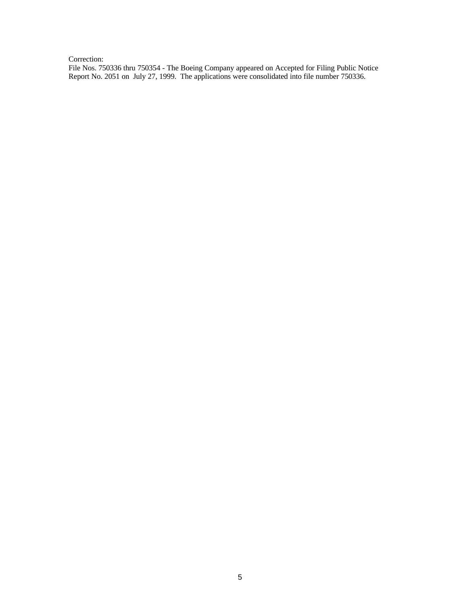### Correction:

File Nos. 750336 thru 750354 - The Boeing Company appeared on Accepted for Filing Public Notice Report No. 2051 on July 27, 1999. The applications were consolidated into file number 750336.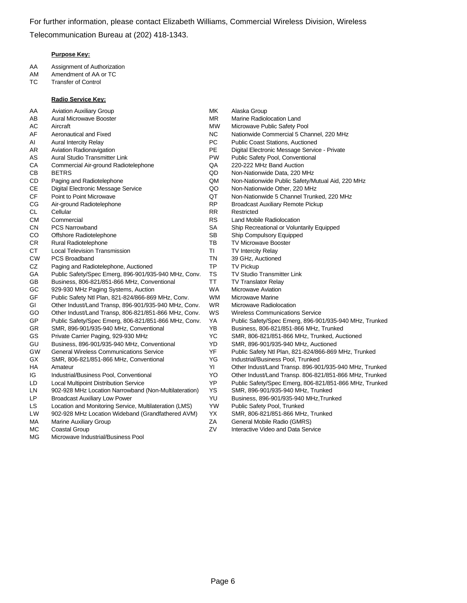### **Purpose Key:**

- AA Assignment of Authorization
- AM Amendment of AA or TC
- TC Transfer of Control

#### **Radio Service Key:**

- AA Aviation Auxiliary Group **MK** Alaska Group
- 
- 
- 
- 
- 
- 
- 
- 
- CE Digital Electronic Message Service QO Non-Nationwide Other, 220 MHz
- 
- 
- 
- 
- 
- CO Offshore Radiotelephone SB Ship Compulsory Equipped
- CR Rural Radiotelephone TB TV Microwave Booster
- CT Local Television Transmission Transmission Turry TI TV Intercity Relay
- CW PCS Broadband TN 39 GHz, Auctioned
- CZ Paging and Radiotelephone, Auctioned TP TV Pickup
- GA Public Safety/Spec Emerg, 896-901/935-940 MHz, Conv. TS TV Studio Transmitter Link
- GB Business, 806-821/851-866 MHz, Conventional TT TV Translator Relay
- GC 929-930 MHz Paging Systems, Auction Nation WA Microwave Aviation
- GF Public Safety Ntl Plan, 821-824/866-869 MHz, Conv. WM Microwave Marine
- GI Other Indust/Land Transp, 896-901/935-940 MHz, Conv. WR Microwave Radiolocation
- GO Other Indust/Land Transp, 806-821/851-866 MHz, Conv. WS Wireless Communications Service
- 
- 
- 
- GU Business, 896-901/935-940 MHz, Conventional YD SMR, 896-901/935-940 MHz, Auctioned
- 
- GX SMR, 806-821/851-866 MHz, Conventional YG Industrial/Business Pool, Trunked
- 
- 
- 
- LN 902-928 MHz Location Narrowband (Non-Multilateration) YS SMR, 896-901/935-940 MHz, Trunked
- LP Broadcast Auxiliary Low Power YU Business, 896-901/935-940 MHz,Trunked
- LS Location and Monitoring Service, Multilateration (LMS) YW Public Safety Pool, Trunked
- LW 902-928 MHz Location Wideband (Grandfathered AVM) YX SMR, 806-821/851-866 MHz, Trunked
- 
- 
- MG Microwave Industrial/Business Pool
- 
- AB Aural Microwave Booster **MR** Marine Radiolocation Land
- AC Aircraft MW Microwave Public Safety Pool
- AF Aeronautical and Fixed NC Nationwide Commercial 5 Channel, 220 MHz
- AI Aural Intercity Relay **PC** Public Coast Stations, Auctioned
- AR Aviation Radionavigation **PE** Digital Electronic Message Service Private
- AS Aural Studio Transmitter Link **PW** Public Safety Pool, Conventional
- CA Commercial Air-ground Radiotelephone QA 220-222 MHz Band Auction
- CB BETRS QD Non-Nationwide Data, 220 MHz
- CD Paging and Radiotelephone QM Non-Nationwide Public Safety/Mutual Aid, 220 MHz
	-
- CF Point to Point Microwave QT Non-Nationwide 5 Channel Trunked, 220 MHz
- CG Air-ground Radiotelephone **RP** Broadcast Auxiliary Remote Pickup
- CL Cellular **RR** Restricted
- CM Commercial CM Commercial CM Commercial CM Commercial CM RS Land Mobile Radiolocation
- CN PCS Narrowband CN SA Ship Recreational or Voluntarily Equipped
	-
	-
	-
	-
	-
	-
	-
	-
	-
	-
	-
- GP Public Safety/Spec Emerg, 806-821/851-866 MHz, Conv. YA Public Safety/Spec Emerg, 896-901/935-940 MHz, Trunked
- GR SMR, 896-901/935-940 MHz, Conventional YB Business, 806-821/851-866 MHz, Trunked
- GS Private Carrier Paging, 929-930 MHz YC SMR, 806-821/851-866 MHz, Trunked, Auctioned
	-
- GW General Wireless Communications Service YF Public Safety Ntl Plan, 821-824/866-869 MHz, Trunked
	-
- HA Amateur YI Other Indust/Land Transp. 896-901/935-940 MHz, Trunked
- IG Industrial/Business Pool, Conventional YO Other Indust/Land Transp. 806-821/851-866 MHz, Trunked
- LD Local Multipoint Distribution Service YP Public Safety/Spec Emerg, 806-821/851-866 MHz, Trunked
	-
	-
	-
	-
- MA Marine Auxiliary Group **Marine Auxiliary Group ZA General Mobile Radio (GMRS)**
- MC Coastal Group Contractive Video and Data Service